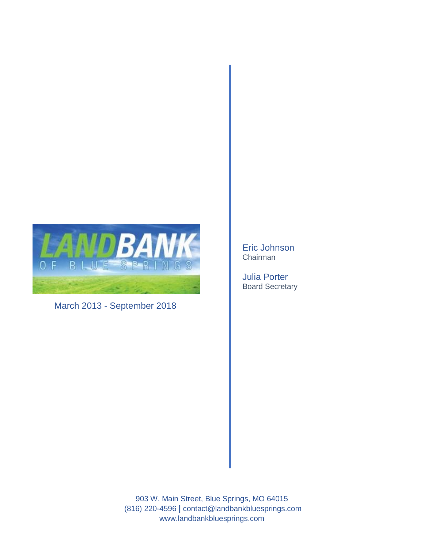

March 2013 - September 2018

Eric Johnson Chairman

Julia Porter Board Secretary

903 W. Main Street, Blue Springs, MO 64015 (816) 220-4596 **|** contact@landbankbluesprings.com www.landbankbluesprings.com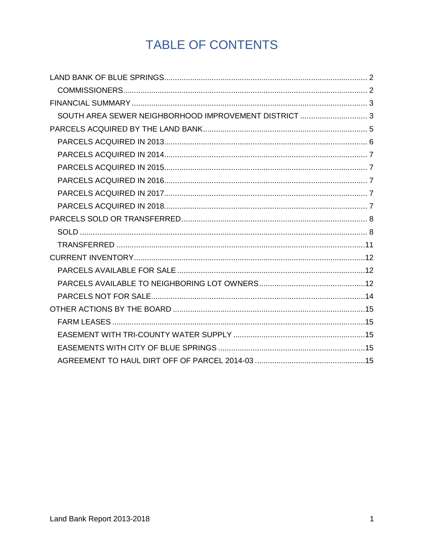# TABLE OF CONTENTS

| SOUTH AREA SEWER NEIGHBORHOOD IMPROVEMENT DISTRICT  3 |  |
|-------------------------------------------------------|--|
|                                                       |  |
|                                                       |  |
|                                                       |  |
|                                                       |  |
|                                                       |  |
|                                                       |  |
|                                                       |  |
|                                                       |  |
|                                                       |  |
|                                                       |  |
|                                                       |  |
|                                                       |  |
|                                                       |  |
|                                                       |  |
|                                                       |  |
|                                                       |  |
|                                                       |  |
|                                                       |  |
|                                                       |  |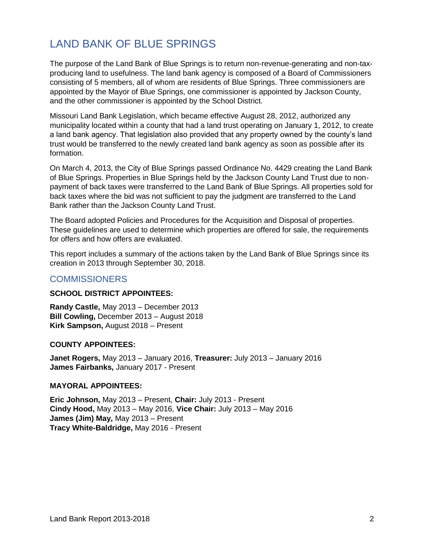## <span id="page-2-0"></span>LAND BANK OF BLUE SPRINGS

The purpose of the Land Bank of Blue Springs is to return non-revenue-generating and non-taxproducing land to usefulness. The land bank agency is composed of a Board of Commissioners consisting of 5 members, all of whom are residents of Blue Springs. Three commissioners are appointed by the Mayor of Blue Springs, one commissioner is appointed by Jackson County, and the other commissioner is appointed by the School District.

Missouri Land Bank Legislation, which became effective August 28, 2012, authorized any municipality located within a county that had a land trust operating on January 1, 2012, to create a land bank agency. That legislation also provided that any property owned by the county's land trust would be transferred to the newly created land bank agency as soon as possible after its formation.

On March 4, 2013, the City of Blue Springs passed Ordinance No. 4429 creating the Land Bank of Blue Springs. Properties in Blue Springs held by the Jackson County Land Trust due to nonpayment of back taxes were transferred to the Land Bank of Blue Springs. All properties sold for back taxes where the bid was not sufficient to pay the judgment are transferred to the Land Bank rather than the Jackson County Land Trust.

The Board adopted Policies and Procedures for the Acquisition and Disposal of properties. These guidelines are used to determine which properties are offered for sale, the requirements for offers and how offers are evaluated.

This report includes a summary of the actions taken by the Land Bank of Blue Springs since its creation in 2013 through September 30, 2018.

#### <span id="page-2-1"></span>**COMMISSIONERS**

#### **SCHOOL DISTRICT APPOINTEES:**

**Randy Castle,** May 2013 – December 2013 **Bill Cowling,** December 2013 – August 2018 **Kirk Sampson,** August 2018 – Present

#### **COUNTY APPOINTEES:**

**Janet Rogers,** May 2013 – January 2016, **Treasurer:** July 2013 – January 2016 **James Fairbanks,** January 2017 - Present

#### **MAYORAL APPOINTEES:**

**Eric Johnson,** May 2013 – Present, **Chair:** July 2013 - Present **Cindy Hood,** May 2013 – May 2016, **Vice Chair:** July 2013 – May 2016 **James (Jim) May,** May 2013 – Present **Tracy White-Baldridge,** May 2016 - Present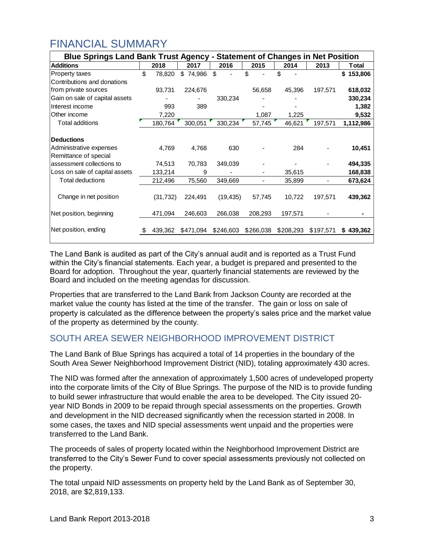## <span id="page-3-0"></span>FINANCIAL SUMMARY

| <b>Statement of Changes in Net Position</b><br><b>Blue Springs Land Bank Trust Agency -</b> |    |           |           |           |           |           |           |               |
|---------------------------------------------------------------------------------------------|----|-----------|-----------|-----------|-----------|-----------|-----------|---------------|
| <b>Additions</b>                                                                            |    | 2018      | 2017      | 2016      | 2015      | 2014      | 2013      | Total         |
| Property taxes                                                                              | \$ | 78,820    | \$74,986  | \$        | \$.       | \$.       |           | 153,806<br>\$ |
| Contributions and donations                                                                 |    |           |           |           |           |           |           |               |
| from private sources                                                                        |    | 93,731    | 224,676   |           | 56,658    | 45,396    | 197,571   | 618,032       |
| Gain on sale of capital assets                                                              |    |           |           | 330,234   |           |           |           | 330,234       |
| Interest income                                                                             |    | 993       | 389       |           |           |           |           | 1,382         |
| Other income                                                                                |    | 7,220     |           |           | 1,087     | 1,225     |           | 9,532         |
| <b>Total additions</b>                                                                      |    | 180,764   | 300,051   | 330,234   | 57,745    | 46,621    | 197,571   | 1,112,986     |
|                                                                                             |    |           |           |           |           |           |           |               |
| <b>Deductions</b>                                                                           |    |           |           |           |           |           |           |               |
| Administrative expenses                                                                     |    | 4,769     | 4,768     | 630       |           | 284       |           | 10,451        |
| Remittance of special                                                                       |    |           |           |           |           |           |           |               |
| assessment collections to                                                                   |    | 74,513    | 70,783    | 349,039   |           |           |           | 494,335       |
| Loss on sale of capital assets                                                              |    | 133,214   | 9         |           |           | 35,615    |           | 168,838       |
| <b>Total deductions</b>                                                                     |    | 212,496   | 75,560    | 349,669   |           | 35,899    |           | 673,624       |
|                                                                                             |    |           |           |           |           |           |           |               |
| Change in net position                                                                      |    | (31, 732) | 224,491   | (19, 435) | 57,745    | 10,722    | 197,571   | 439,362       |
|                                                                                             |    |           |           |           |           |           |           |               |
| Net position, beginning                                                                     |    | 471,094   | 246,603   | 266,038   | 208,293   | 197,571   |           |               |
|                                                                                             |    |           |           |           |           |           |           |               |
| Net position, ending                                                                        |    | 439,362   | \$471,094 | \$246,603 | \$266,038 | \$208,293 | \$197,571 | \$439,362     |
|                                                                                             |    |           |           |           |           |           |           |               |

The Land Bank is audited as part of the City's annual audit and is reported as a Trust Fund within the City's financial statements. Each year, a budget is prepared and presented to the Board for adoption. Throughout the year, quarterly financial statements are reviewed by the Board and included on the meeting agendas for discussion.

Properties that are transferred to the Land Bank from Jackson County are recorded at the market value the county has listed at the time of the transfer. The gain or loss on sale of property is calculated as the difference between the property's sales price and the market value of the property as determined by the county.

### <span id="page-3-1"></span>SOUTH AREA SEWER NEIGHBORHOOD IMPROVEMENT DISTRICT

The Land Bank of Blue Springs has acquired a total of 14 properties in the boundary of the South Area Sewer Neighborhood Improvement District (NID), totaling approximately 430 acres.

The NID was formed after the annexation of approximately 1,500 acres of undeveloped property into the corporate limits of the City of Blue Springs. The purpose of the NID is to provide funding to build sewer infrastructure that would enable the area to be developed. The City issued 20 year NID Bonds in 2009 to be repaid through special assessments on the properties. Growth and development in the NID decreased significantly when the recession started in 2008. In some cases, the taxes and NID special assessments went unpaid and the properties were transferred to the Land Bank.

The proceeds of sales of property located within the Neighborhood Improvement District are transferred to the City's Sewer Fund to cover special assessments previously not collected on the property.

The total unpaid NID assessments on property held by the Land Bank as of September 30, 2018, are \$2,819,133.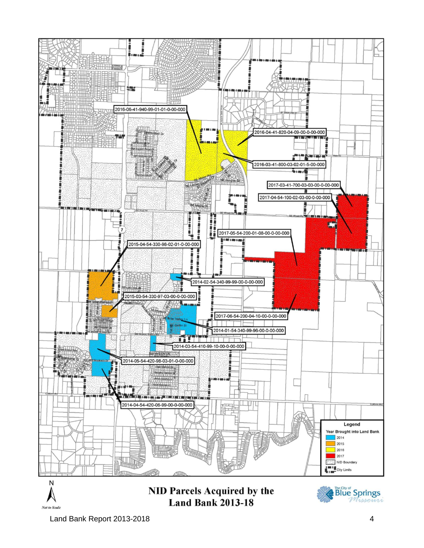

Land Bank Report 2013-2018 4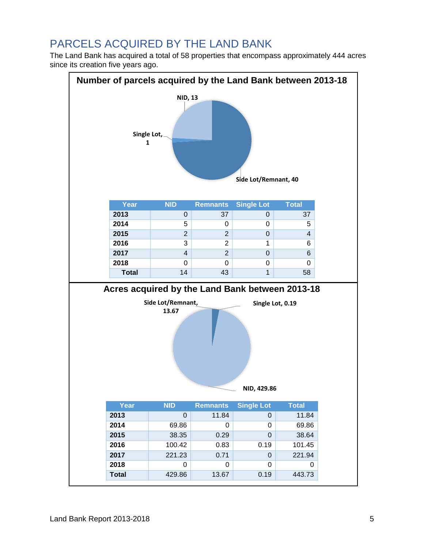## <span id="page-5-0"></span>PARCELS ACQUIRED BY THE LAND BANK

The Land Bank has acquired a total of 58 properties that encompass approximately 444 acres since its creation five years ago.

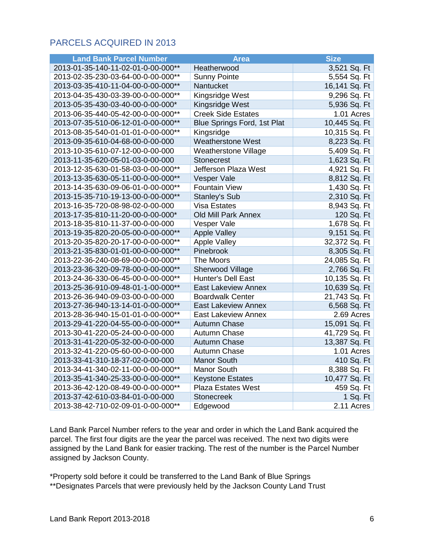### <span id="page-6-0"></span>PARCELS ACQUIRED IN 2013

| <b>Land Bank Parcel Number</b>     | <b>Area</b>                        | <b>Size</b>   |
|------------------------------------|------------------------------------|---------------|
| 2013-01-35-140-11-02-01-0-00-000** | Heatherwood                        | 3,521 Sq. Ft  |
| 2013-02-35-230-03-64-00-0-00-000** | <b>Sunny Pointe</b>                | 5,554 Sq. Ft  |
| 2013-03-35-410-11-04-00-0-00-000** | Nantucket                          | 16,141 Sq. Ft |
| 2013-04-35-430-03-39-00-0-00-000** | Kingsridge West                    | 9,296 Sq. Ft  |
| 2013-05-35-430-03-40-00-0-00-000*  | Kingsridge West                    | 5,936 Sq. Ft  |
| 2013-06-35-440-05-42-00-0-00-000** | <b>Creek Side Estates</b>          | 1.01 Acres    |
| 2013-07-35-510-06-12-01-0-00-000** | <b>Blue Springs Ford, 1st Plat</b> | 10,445 Sq. Ft |
| 2013-08-35-540-01-01-01-0-00-000** | Kingsridge                         | 10,315 Sq. Ft |
| 2013-09-35-610-04-68-00-0-00-000   | <b>Weatherstone West</b>           | 8,223 Sq. Ft  |
| 2013-10-35-610-07-12-00-0-00-000   | Weatherstone Village               | 5,409 Sq. Ft  |
| 2013-11-35-620-05-01-03-0-00-000   | <b>Stonecrest</b>                  | 1,623 Sq. Ft  |
| 2013-12-35-630-01-58-03-0-00-000** | Jefferson Plaza West               | 4,921 Sq. Ft  |
| 2013-13-35-630-05-11-00-0-00-000** | Vesper Vale                        | 8,812 Sq. Ft  |
| 2013-14-35-630-09-06-01-0-00-000** | <b>Fountain View</b>               | 1,430 Sq. Ft  |
| 2013-15-35-710-19-13-00-0-00-000** | Stanley's Sub                      | 2,310 Sq. Ft  |
| 2013-16-35-720-08-98-02-0-00-000   | <b>Visa Estates</b>                | 8,943 Sq. Ft  |
| 2013-17-35-810-11-20-00-0-00-000*  | <b>Old Mill Park Annex</b>         | 120 Sq. Ft    |
| 2013-18-35-810-11-37-00-0-00-000   | Vesper Vale                        | 1,678 Sq. Ft  |
| 2013-19-35-820-20-05-00-0-00-000** | <b>Apple Valley</b>                | 9,151 Sq. Ft  |
| 2013-20-35-820-20-17-00-0-00-000** | <b>Apple Valley</b>                | 32,372 Sq. Ft |
| 2013-21-35-830-01-01-00-0-00-000** | Pinebrook                          | 8,305 Sq. Ft  |
| 2013-22-36-240-08-69-00-0-00-000** | The Moors                          | 24,085 Sq. Ft |
| 2013-23-36-320-09-78-00-0-00-000** | Sherwood Village                   | 2,766 Sq. Ft  |
| 2013-24-36-330-06-45-00-0-00-000** | Hunter's Dell East                 | 10,135 Sq. Ft |
| 2013-25-36-910-09-48-01-1-00-000** | <b>East Lakeview Annex</b>         | 10,639 Sq. Ft |
| 2013-26-36-940-09-03-00-0-00-000   | <b>Boardwalk Center</b>            | 21,743 Sq. Ft |
| 2013-27-36-940-13-14-01-0-00-000** | <b>East Lakeview Annex</b>         | 6,568 Sq. Ft  |
| 2013-28-36-940-15-01-01-0-00-000** | <b>East Lakeview Annex</b>         | 2.69 Acres    |
| 2013-29-41-220-04-55-00-0-00-000** | <b>Autumn Chase</b>                | 15,091 Sq. Ft |
| 2013-30-41-220-05-24-00-0-00-000   | Autumn Chase                       | 41,729 Sq. Ft |
| 2013-31-41-220-05-32-00-0-00-000   | <b>Autumn Chase</b>                | 13,387 Sq. Ft |
| 2013-32-41-220-05-60-00-0-00-000   | Autumn Chase                       | 1.01 Acres    |
| 2013-33-41-310-18-37-02-0-00-000   | <b>Manor South</b>                 | 410 Sq. Ft    |
| 2013-34-41-340-02-11-00-0-00-000** | <b>Manor South</b>                 | 8,388 Sq. Ft  |
| 2013-35-41-340-25-33-00-0-00-000** | <b>Keystone Estates</b>            | 10,477 Sq. Ft |
| 2013-36-42-120-08-49-00-0-00-000** | <b>Plaza Estates West</b>          | 459 Sq. Ft    |
| 2013-37-42-610-03-84-01-0-00-000   | <b>Stonecreek</b>                  | 1 Sq. Ft      |
| 2013-38-42-710-02-09-01-0-00-000** | Edgewood                           | $2.11$ Acres  |

Land Bank Parcel Number refers to the year and order in which the Land Bank acquired the parcel. The first four digits are the year the parcel was received. The next two digits were assigned by the Land Bank for easier tracking. The rest of the number is the Parcel Number assigned by Jackson County.

\*Property sold before it could be transferred to the Land Bank of Blue Springs \*\*Designates Parcels that were previously held by the Jackson County Land Trust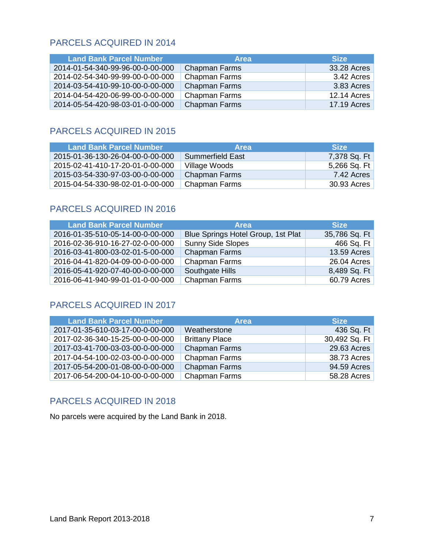### <span id="page-7-0"></span>PARCELS ACQUIRED IN 2014

| <b>Land Bank Parcel Number</b>   | <b>Area</b>          | <b>Size</b>        |
|----------------------------------|----------------------|--------------------|
| 2014-01-54-340-99-96-00-0-00-000 | <b>Chapman Farms</b> | 33.28 Acres        |
| 2014-02-54-340-99-99-00-0-00-000 | Chapman Farms        | 3.42 Acres         |
| 2014-03-54-410-99-10-00-0-00-000 | <b>Chapman Farms</b> | 3.83 Acres         |
| 2014-04-54-420-06-99-00-0-00-000 | Chapman Farms        | <b>12.14 Acres</b> |
| 2014-05-54-420-98-03-01-0-00-000 | <b>Chapman Farms</b> | <b>17.19 Acres</b> |

### <span id="page-7-1"></span>PARCELS ACQUIRED IN 2015

| <b>Land Bank Parcel Number</b>   | <b>Area</b>             | <b>Size</b>  |
|----------------------------------|-------------------------|--------------|
| 2015-01-36-130-26-04-00-0-00-000 | <b>Summerfield East</b> | 7,378 Sq. Ft |
| 2015-02-41-410-17-20-01-0-00-000 | Village Woods           | 5,266 Sq. Ft |
| 2015-03-54-330-97-03-00-0-00-000 | Chapman Farms           | 7.42 Acres   |
| 2015-04-54-330-98-02-01-0-00-000 | Chapman Farms           | 30.93 Acres  |

### <span id="page-7-2"></span>PARCELS ACQUIRED IN 2016

| <b>Land Bank Parcel Number</b>   | <b>Area</b>                        | <b>Size</b>   |
|----------------------------------|------------------------------------|---------------|
| 2016-01-35-510-05-14-00-0-00-000 | Blue Springs Hotel Group, 1st Plat | 35,786 Sq. Ft |
| 2016-02-36-910-16-27-02-0-00-000 | <b>Sunny Side Slopes</b>           | 466 Sq. Ft    |
| 2016-03-41-800-03-02-01-5-00-000 | <b>Chapman Farms</b>               | 13.59 Acres   |
| 2016-04-41-820-04-09-00-0-00-000 | <b>Chapman Farms</b>               | 26.04 Acres   |
| 2016-05-41-920-07-40-00-0-00-000 | Southgate Hills                    | 8,489 Sq. Ft  |
| 2016-06-41-940-99-01-01-0-00-000 | <b>Chapman Farms</b>               | 60.79 Acres   |

### <span id="page-7-3"></span>PARCELS ACQUIRED IN 2017

| <b>Land Bank Parcel Number</b>   | <b>Area</b>           | <b>Size</b>   |
|----------------------------------|-----------------------|---------------|
| 2017-01-35-610-03-17-00-0-00-000 | Weatherstone          | 436 Sq. Ft    |
| 2017-02-36-340-15-25-00-0-00-000 | <b>Brittany Place</b> | 30,492 Sq. Ft |
| 2017-03-41-700-03-03-00-0-00-000 | <b>Chapman Farms</b>  | 29.63 Acres   |
| 2017-04-54-100-02-03-00-0-00-000 | <b>Chapman Farms</b>  | 38.73 Acres   |
| 2017-05-54-200-01-08-00-0-00-000 | <b>Chapman Farms</b>  | 94.59 Acres   |
| 2017-06-54-200-04-10-00-0-00-000 | <b>Chapman Farms</b>  | 58.28 Acres   |

### <span id="page-7-4"></span>PARCELS ACQUIRED IN 2018

No parcels were acquired by the Land Bank in 2018.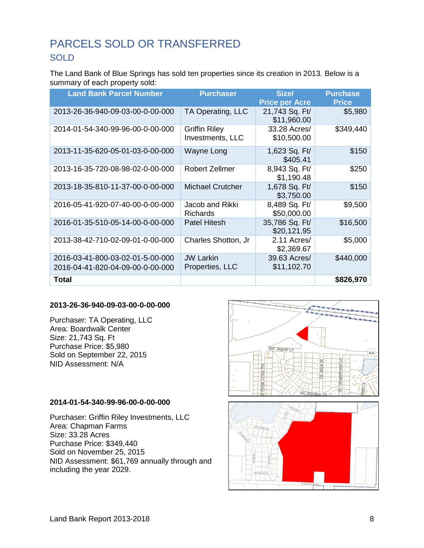## <span id="page-8-1"></span><span id="page-8-0"></span>PARCELS SOLD OR TRANSFERRED **SOLD**

The Land Bank of Blue Springs has sold ten properties since its creation in 2013. Below is a summary of each property sold:

| <b>Land Bank Parcel Number</b>                                       | <b>Purchaser</b>                         | Size/<br><b>Price per Acre</b> | <b>Purchase</b><br><b>Price</b> |
|----------------------------------------------------------------------|------------------------------------------|--------------------------------|---------------------------------|
| 2013-26-36-940-09-03-00-0-00-000                                     | TA Operating, LLC                        | 21,743 Sq. Ft/<br>\$11,960.00  | \$5,980                         |
| 2014-01-54-340-99-96-00-0-00-000                                     | <b>Griffin Riley</b><br>Investments, LLC | 33.28 Acres/<br>\$10,500.00    | \$349,440                       |
| 2013-11-35-620-05-01-03-0-00-000                                     | Wayne Long                               | 1,623 Sq. Ft/<br>\$405.41      | \$150                           |
| 2013-16-35-720-08-98-02-0-00-000                                     | <b>Robert Zellmer</b>                    | 8,943 Sq. Ft/<br>\$1,190.48    | \$250                           |
| 2013-18-35-810-11-37-00-0-00-000                                     | <b>Michael Crutcher</b>                  | 1,678 Sq. Ft/<br>\$3,750.00    | \$150                           |
| 2016-05-41-920-07-40-00-0-00-000                                     | Jacob and Rikki<br><b>Richards</b>       | 8,489 Sq. Ft/<br>\$50,000.00   | \$9,500                         |
| 2016-01-35-510-05-14-00-0-00-000                                     | <b>Patel Hitesh</b>                      | 35,786 Sq. Ft/<br>\$20,121.95  | \$16,500                        |
| 2013-38-42-710-02-09-01-0-00-000                                     | Charles Shotton, Jr                      | 2.11 Acres/<br>\$2,369.67      | \$5,000                         |
| 2016-03-41-800-03-02-01-5-00-000<br>2016-04-41-820-04-09-00-0-00-000 | <b>JW Larkin</b><br>Properties, LLC      | 39.63 Acres/<br>\$11,102.70    | \$440,000                       |
| Total                                                                |                                          |                                | \$826,970                       |

#### **2013-26-36-940-09-03-00-0-00-000**

Purchaser: TA Operating, LLC Area: Boardwalk Center Size: 21,743 Sq. Ft Purchase Price: \$5,980 Sold on September 22, 2015 NID Assessment: N/A

#### **2014-01-54-340-99-96-00-0-00-000**

Purchaser: Griffin Riley Investments, LLC Area: Chapman Farms Size: 33.28 Acres Purchase Price: \$349,440 Sold on November 25, 2015 NID Assessment: \$61,769 annually through and including the year 2029.

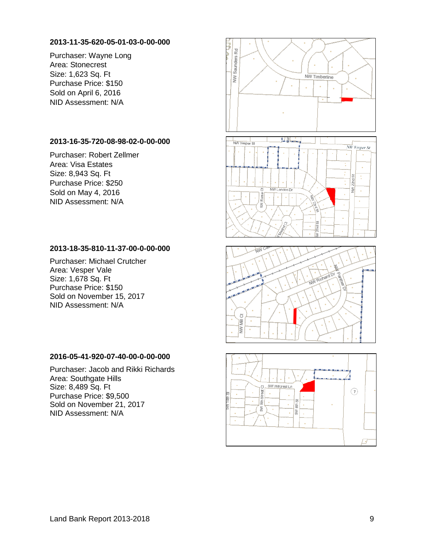#### **2013-11-35-620-05-01-03-0-00-000**

Purchaser: Wayne Long Area: Stonecrest Size: 1,623 Sq. Ft Purchase Price: \$150 Sold on April 6, 2016 NID Assessment: N/A

#### **2013-16-35-720-08-98-02-0-00-000**

Purchaser: Robert Zellmer Area: Visa Estates Size: 8,943 Sq. Ft Purchase Price: \$250 Sold on May 4, 2016 NID Assessment: N/A

#### **2013-18-35-810-11-37-00-0-00-000**

Purchaser: Michael Crutcher Area: Vesper Vale Size: 1,678 Sq. Ft Purchase Price: \$150 Sold on November 15, 2017 NID Assessment: N/A

#### **2016-05-41-920-07-40-00-0-00-000**

Purchaser: Jacob and Rikki Richards Area: Southgate Hills Size: 8,489 Sq. Ft Purchase Price: \$9,500 Sold on November 21, 2017 NID Assessment: N/A

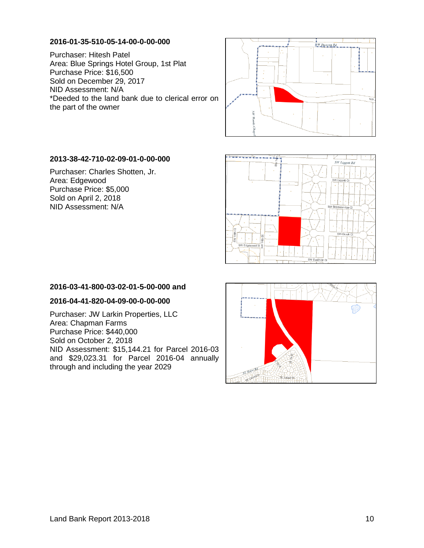#### **2016-01-35-510-05-14-00-0-00-000**

Purchaser: Hitesh Patel Area: Blue Springs Hotel Group, 1st Plat Purchase Price: \$16,500 Sold on December 29, 2017 NID Assessment: N/A \*Deeded to the land bank due to clerical error on the part of the owner



#### **2013-38-42-710-02-09-01-0-00-000**

Purchaser: Charles Shotten, Jr. Area: Edgewood Purchase Price: \$5,000 Sold on April 2, 2018 NID Assessment: N/A



#### **2016-03-41-800-03-02-01-5-00-000 and**

#### **2016-04-41-820-04-09-00-0-00-000**

Purchaser: JW Larkin Properties, LLC Area: Chapman Farms Purchase Price: \$440,000 Sold on October 2, 2018 NID Assessment: \$15,144.21 for Parcel 2016-03 and \$29,023.31 for Parcel 2016-04 annually through and including the year 2029

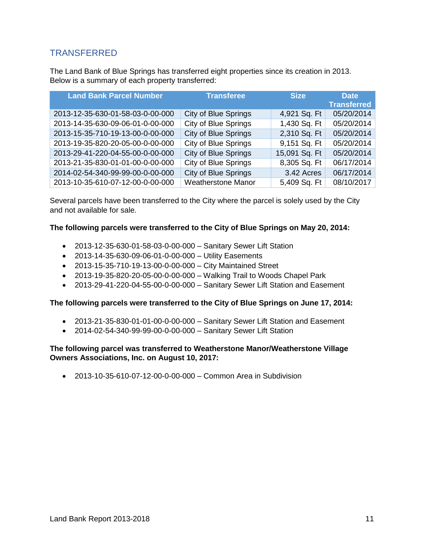### <span id="page-11-0"></span>**TRANSFERRED**

The Land Bank of Blue Springs has transferred eight properties since its creation in 2013. Below is a summary of each property transferred:

| <b>Land Bank Parcel Number</b>   | <b>Transferee</b>           | <b>Size</b>   | <b>Date</b><br><b>Transferred</b> |
|----------------------------------|-----------------------------|---------------|-----------------------------------|
| 2013-12-35-630-01-58-03-0-00-000 | <b>City of Blue Springs</b> | 4,921 Sq. Ft  | 05/20/2014                        |
| 2013-14-35-630-09-06-01-0-00-000 | <b>City of Blue Springs</b> | 1,430 Sq. Ft  | 05/20/2014                        |
| 2013-15-35-710-19-13-00-0-00-000 | City of Blue Springs        | 2,310 Sq. Ft  | 05/20/2014                        |
| 2013-19-35-820-20-05-00-0-00-000 | City of Blue Springs        | 9,151 Sq. Ft  | 05/20/2014                        |
| 2013-29-41-220-04-55-00-0-00-000 | <b>City of Blue Springs</b> | 15,091 Sq. Ft | 05/20/2014                        |
| 2013-21-35-830-01-01-00-0-00-000 | <b>City of Blue Springs</b> | 8,305 Sq. Ft  | 06/17/2014                        |
| 2014-02-54-340-99-99-00-0-00-000 | <b>City of Blue Springs</b> | 3.42 Acres    | 06/17/2014                        |
| 2013-10-35-610-07-12-00-0-00-000 | <b>Weatherstone Manor</b>   | 5,409 Sq. Ft  | 08/10/2017                        |

Several parcels have been transferred to the City where the parcel is solely used by the City and not available for sale.

#### **The following parcels were transferred to the City of Blue Springs on May 20, 2014:**

- 2013-12-35-630-01-58-03-0-00-000 Sanitary Sewer Lift Station
- 2013-14-35-630-09-06-01-0-00-000 Utility Easements
- 2013-15-35-710-19-13-00-0-00-000 City Maintained Street
- 2013-19-35-820-20-05-00-0-00-000 Walking Trail to Woods Chapel Park
- 2013-29-41-220-04-55-00-0-00-000 Sanitary Sewer Lift Station and Easement

#### **The following parcels were transferred to the City of Blue Springs on June 17, 2014:**

- 2013-21-35-830-01-01-00-0-00-000 Sanitary Sewer Lift Station and Easement
- 2014-02-54-340-99-99-00-0-00-000 Sanitary Sewer Lift Station

#### **The following parcel was transferred to Weatherstone Manor/Weatherstone Village Owners Associations, Inc. on August 10, 2017:**

• 2013-10-35-610-07-12-00-0-00-000 – Common Area in Subdivision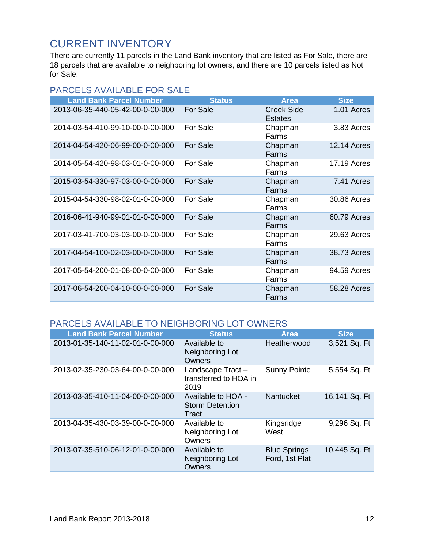## <span id="page-12-0"></span>CURRENT INVENTORY

There are currently 11 parcels in the Land Bank inventory that are listed as For Sale, there are 18 parcels that are available to neighboring lot owners, and there are 10 parcels listed as Not for Sale.

### <span id="page-12-1"></span>PARCELS AVAILABLE FOR SALE

| <b>Land Bank Parcel Number</b>   | <b>Status</b>   | <b>Area</b>                  | <b>Size</b>        |
|----------------------------------|-----------------|------------------------------|--------------------|
| 2013-06-35-440-05-42-00-0-00-000 | For Sale        | Creek Side<br><b>Estates</b> | 1.01 Acres         |
| 2014-03-54-410-99-10-00-0-00-000 | For Sale        | Chapman<br>Farms             | 3.83 Acres         |
| 2014-04-54-420-06-99-00-0-00-000 | For Sale        | Chapman<br>Farms             | <b>12.14 Acres</b> |
| 2014-05-54-420-98-03-01-0-00-000 | For Sale        | Chapman<br>Farms             | 17.19 Acres        |
| 2015-03-54-330-97-03-00-0-00-000 | For Sale        | Chapman<br>Farms             | 7.41 Acres         |
| 2015-04-54-330-98-02-01-0-00-000 | For Sale        | Chapman<br>Farms             | 30.86 Acres        |
| 2016-06-41-940-99-01-01-0-00-000 | For Sale        | Chapman<br>Farms             | 60.79 Acres        |
| 2017-03-41-700-03-03-00-0-00-000 | For Sale        | Chapman<br>Farms             | 29.63 Acres        |
| 2017-04-54-100-02-03-00-0-00-000 | <b>For Sale</b> | Chapman<br>Farms             | 38.73 Acres        |
| 2017-05-54-200-01-08-00-0-00-000 | For Sale        | Chapman<br>Farms             | 94.59 Acres        |
| 2017-06-54-200-04-10-00-0-00-000 | <b>For Sale</b> | Chapman<br>Farms             | 58.28 Acres        |

### <span id="page-12-2"></span>PARCELS AVAILABLE TO NEIGHBORING LOT OWNERS

| <b>Land Bank Parcel Number</b>   | <b>Status</b>                                         | <b>Area</b>                           | <b>Size</b>   |
|----------------------------------|-------------------------------------------------------|---------------------------------------|---------------|
| 2013-01-35-140-11-02-01-0-00-000 | Available to<br>Neighboring Lot<br>Owners             | Heatherwood                           | 3,521 Sq. Ft  |
| 2013-02-35-230-03-64-00-0-00-000 | Landscape Tract-<br>transferred to HOA in<br>2019     | <b>Sunny Pointe</b>                   | 5,554 Sq. Ft  |
| 2013-03-35-410-11-04-00-0-00-000 | Available to HOA -<br><b>Storm Detention</b><br>Tract | <b>Nantucket</b>                      | 16,141 Sq. Ft |
| 2013-04-35-430-03-39-00-0-00-000 | Available to<br>Neighboring Lot<br>Owners             | Kingsridge<br>West                    | 9,296 Sq. Ft  |
| 2013-07-35-510-06-12-01-0-00-000 | Available to<br>Neighboring Lot<br><b>Owners</b>      | <b>Blue Springs</b><br>Ford, 1st Plat | 10,445 Sq. Ft |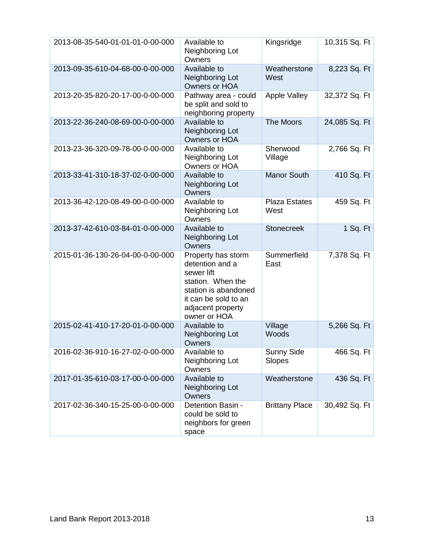| 2013-08-35-540-01-01-01-0-00-000 | Available to<br>Neighboring Lot<br>Owners                                                                                                                     | Kingsridge                   | 10,315 Sq. Ft |
|----------------------------------|---------------------------------------------------------------------------------------------------------------------------------------------------------------|------------------------------|---------------|
| 2013-09-35-610-04-68-00-0-00-000 | Available to<br>Neighboring Lot<br>Owners or HOA                                                                                                              | Weatherstone<br>West         | 8,223 Sq. Ft  |
| 2013-20-35-820-20-17-00-0-00-000 | Pathway area - could<br>be split and sold to<br>neighboring property                                                                                          | Apple Valley                 | 32,372 Sq. Ft |
| 2013-22-36-240-08-69-00-0-00-000 | Available to<br>Neighboring Lot<br>Owners or HOA                                                                                                              | The Moors                    | 24,085 Sq. Ft |
| 2013-23-36-320-09-78-00-0-00-000 | Available to<br>Neighboring Lot<br>Owners or HOA                                                                                                              | Sherwood<br>Village          | 2,766 Sq. Ft  |
| 2013-33-41-310-18-37-02-0-00-000 | Available to<br>Neighboring Lot<br>Owners                                                                                                                     | <b>Manor South</b>           | 410 Sq. Ft    |
| 2013-36-42-120-08-49-00-0-00-000 | Available to<br>Neighboring Lot<br>Owners                                                                                                                     | <b>Plaza Estates</b><br>West | 459 Sq. Ft    |
| 2013-37-42-610-03-84-01-0-00-000 | Available to<br>Neighboring Lot<br>Owners                                                                                                                     | <b>Stonecreek</b>            | 1 Sq. Ft      |
| 2015-01-36-130-26-04-00-0-00-000 | Property has storm<br>detention and a<br>sewer lift<br>station. When the<br>station is abandoned<br>it can be sold to an<br>adjacent property<br>owner or HOA | Summerfield<br>East          | 7,378 Sq. Ft  |
| 2015-02-41-410-17-20-01-0-00-000 | Available to<br>Neighboring Lot<br>Owners                                                                                                                     | Village<br>Woods             | 5,266 Sq. Ft  |
| 2016-02-36-910-16-27-02-0-00-000 | Available to<br>Neighboring Lot<br>Owners                                                                                                                     | <b>Sunny Side</b><br>Slopes  | 466 Sq. Ft    |
| 2017-01-35-610-03-17-00-0-00-000 | Available to<br>Neighboring Lot<br>Owners                                                                                                                     | Weatherstone                 | 436 Sq. Ft    |
| 2017-02-36-340-15-25-00-0-00-000 | Detention Basin -<br>could be sold to<br>neighbors for green<br>space                                                                                         | <b>Brittany Place</b>        | 30,492 Sq. Ft |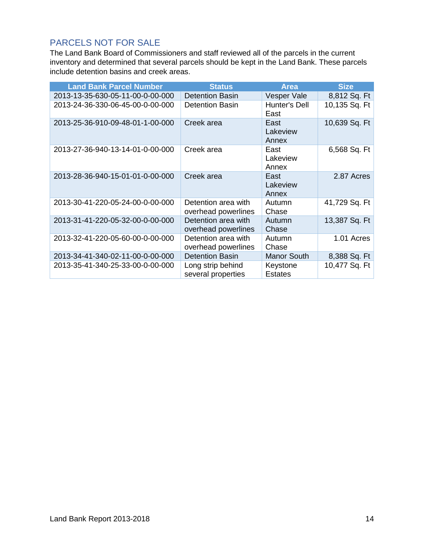### <span id="page-14-0"></span>PARCELS NOT FOR SALE

The Land Bank Board of Commissioners and staff reviewed all of the parcels in the current inventory and determined that several parcels should be kept in the Land Bank. These parcels include detention basins and creek areas.

| <b>Land Bank Parcel Number</b>   | <b>Status</b>                              | <b>Area</b>                | <b>Size</b>   |
|----------------------------------|--------------------------------------------|----------------------------|---------------|
| 2013-13-35-630-05-11-00-0-00-000 | <b>Detention Basin</b>                     | Vesper Vale                | 8,812 Sq. Ft  |
| 2013-24-36-330-06-45-00-0-00-000 | <b>Detention Basin</b>                     | Hunter's Dell<br>East      | 10,135 Sq. Ft |
| 2013-25-36-910-09-48-01-1-00-000 | Creek area                                 | East<br>Lakeview<br>Annex  | 10,639 Sq. Ft |
| 2013-27-36-940-13-14-01-0-00-000 | Creek area                                 | East<br>Lakeview<br>Annex  | 6,568 Sq. Ft  |
| 2013-28-36-940-15-01-01-0-00-000 | Creek area                                 | East<br>Lakeview<br>Annex  | 2.87 Acres    |
| 2013-30-41-220-05-24-00-0-00-000 | Detention area with<br>overhead powerlines | Autumn<br>Chase            | 41,729 Sq. Ft |
| 2013-31-41-220-05-32-00-0-00-000 | Detention area with<br>overhead powerlines | Autumn<br>Chase            | 13,387 Sq. Ft |
| 2013-32-41-220-05-60-00-0-00-000 | Detention area with<br>overhead powerlines | Autumn<br>Chase            | 1.01 Acres    |
| 2013-34-41-340-02-11-00-0-00-000 | <b>Detention Basin</b>                     | <b>Manor South</b>         | 8,388 Sq. Ft  |
| 2013-35-41-340-25-33-00-0-00-000 | Long strip behind<br>several properties    | Keystone<br><b>Estates</b> | 10,477 Sq. Ft |